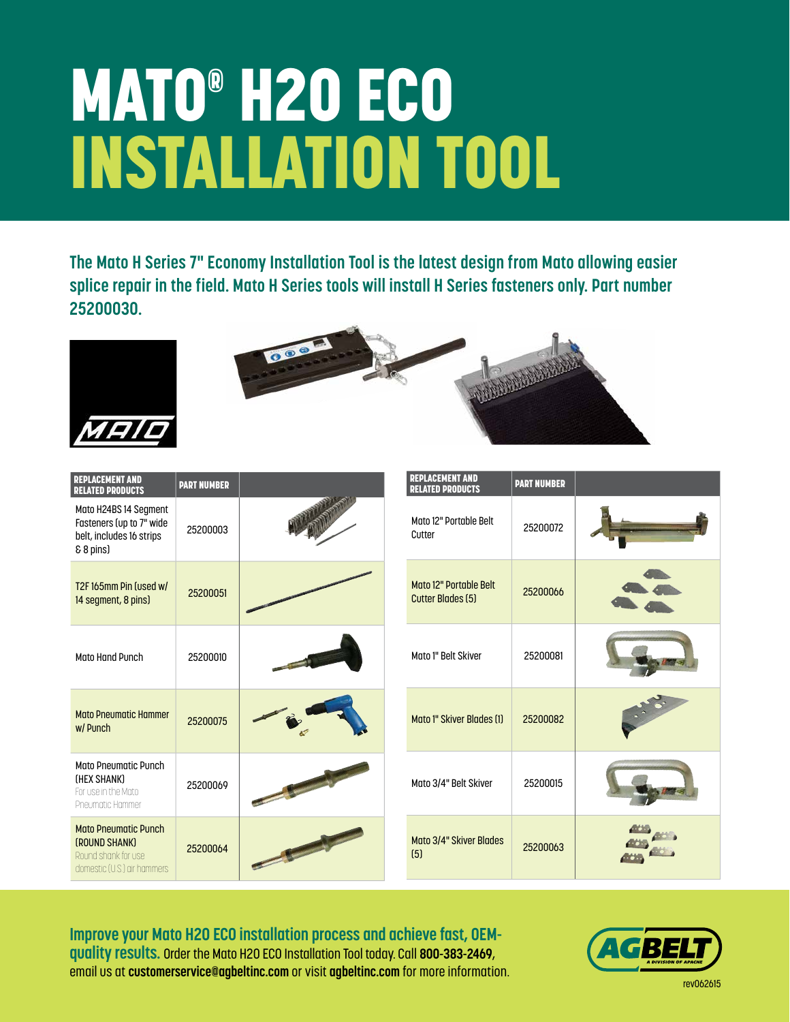## MATO® H20 ECO INSTALLATION TOOL

**The Mato H Series 7" Economy Installation Tool is the latest design from Mato allowing easier splice repair in the field. Mato H Series tools will install H Series fasteners only. Part number 25200030.**





| <b>REPLACEMENT AND</b><br><b>RELATED PRODUCTS</b>                                                  | <b>PART NUMBER</b> |  | <b>REPLACEMENT AND</b><br><b>RELATED PRODUCTS</b>  | <b>PART NUMBER</b> |  |
|----------------------------------------------------------------------------------------------------|--------------------|--|----------------------------------------------------|--------------------|--|
| Mato H24BS 14 Segment<br>Fasteners (up to 7" wide<br>belt, includes 16 strips<br>& 8 pins)         | 25200003           |  | Mato 12" Portable Belt<br>Cutter                   | 25200072           |  |
| T2F165mm Pin fused w/<br>14 segment, 8 pins)                                                       | 25200051           |  | Mato 12" Portable Belt<br><b>Cutter Blades (5)</b> | 25200066           |  |
| <b>Mato Hand Punch</b>                                                                             | 25200010           |  | Mato 1" Belt Skiver                                | 25200081           |  |
| <b>Mato Pneumatic Hammer</b><br>w/ Punch                                                           | 25200075           |  | Mato 1" Skiver Blades (1)                          | 25200082           |  |
| <b>Mato Pneumatic Punch</b><br>(HEX SHANK)<br>For use in the Mato<br>Pneumatic Hammer              | 25200069           |  | Mato 3/4" Belt Skiver                              | 25200015           |  |
| <b>Mato Pneumatic Punch</b><br>(ROUND SHANK)<br>Round shank for use<br>domestic (U.S.) air hammers | 25200064           |  | Mato 3/4" Skiver Blades<br>(5)                     | 25200063           |  |

**Improve your Mato H20 ECO installation process and achieve fast, OEMquality results.** Order the Mato H20 ECO Installation Tool today. Call **800-383-2469**, email us at **customerservice@agbeltinc.com** or visit **agbeltinc.com** for more information.



rev062615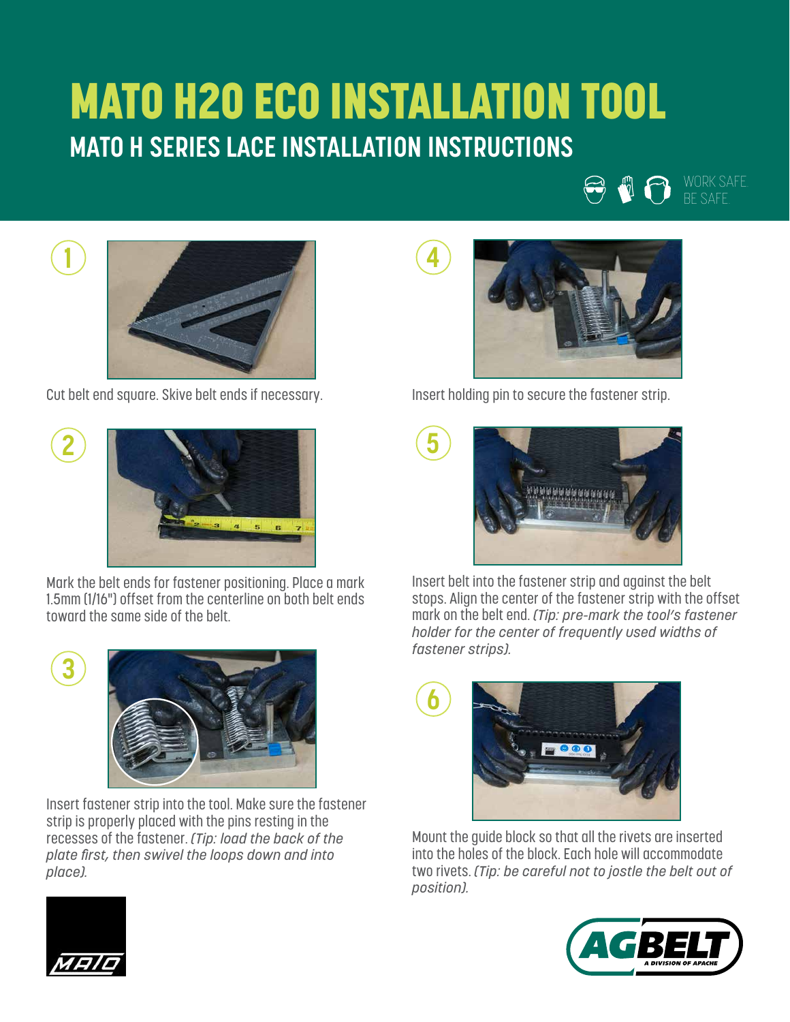## MATO H20 ECO INSTALLATION TOOL **MATO H SERIES LACE INSTALLATION INSTRUCTIONS**

**4**



Cut belt end square. Skive belt ends if necessary.



Mark the belt ends for fastener positioning. Place a mark 1.5mm (1/16") offset from the centerline on both belt ends toward the same side of the belt.

**3**

**1**



Insert fastener strip into the tool. Make sure the fastener strip is properly placed with the pins resting in the recesses of the fastener. *(Tip: load the back of the plate first, then swivel the loops down and into place).*



WORK SAFE. BE SAFE.

W A

Insert holding pin to secure the fastener strip.



Insert belt into the fastener strip and against the belt stops. Align the center of the fastener strip with the offset mark on the belt end. *(Tip: pre-mark the tool's fastener holder for the center of frequently used widths of fastener strips).*



Mount the guide block so that all the rivets are inserted into the holes of the block. Each hole will accommodate two rivets. *(Tip: be careful not to jostle the belt out of position).*